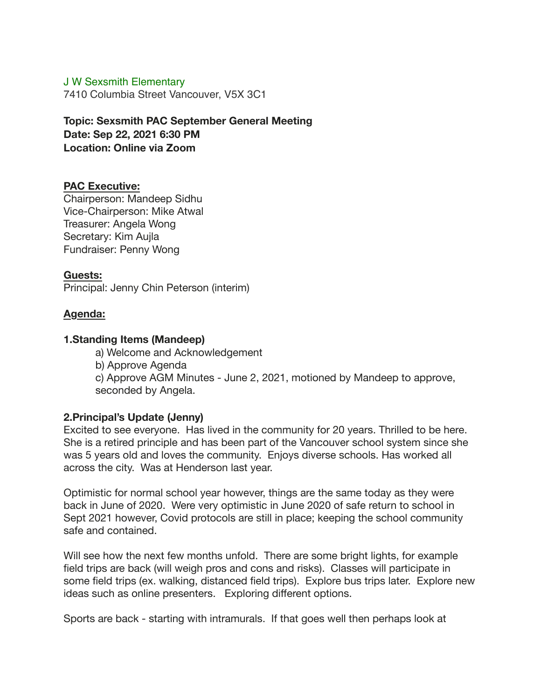### J W Sexsmith Elementary

7410 Columbia Street Vancouver, V5X 3C1

**Topic: Sexsmith PAC September General Meeting Date: Sep 22, 2021 6:30 PM Location: Online via Zoom**

### **PAC Executive:**

Chairperson: Mandeep Sidhu Vice-Chairperson: Mike Atwal Treasurer: Angela Wong Secretary: Kim Aujla Fundraiser: Penny Wong

### **Guests:**

Principal: Jenny Chin Peterson (interim)

### **Agenda:**

#### **1.Standing Items (Mandeep)**

a) Welcome and Acknowledgement

b) Approve Agenda

c) Approve AGM Minutes - June 2, 2021, motioned by Mandeep to approve, seconded by Angela.

### **2.Principal's Update (Jenny)**

Excited to see everyone. Has lived in the community for 20 years. Thrilled to be here. She is a retired principle and has been part of the Vancouver school system since she was 5 years old and loves the community. Enjoys diverse schools. Has worked all across the city. Was at Henderson last year.

Optimistic for normal school year however, things are the same today as they were back in June of 2020. Were very optimistic in June 2020 of safe return to school in Sept 2021 however, Covid protocols are still in place; keeping the school community safe and contained.

Will see how the next few months unfold. There are some bright lights, for example field trips are back (will weigh pros and cons and risks). Classes will participate in some field trips (ex. walking, distanced field trips). Explore bus trips later. Explore new ideas such as online presenters. Exploring different options.

Sports are back - starting with intramurals. If that goes well then perhaps look at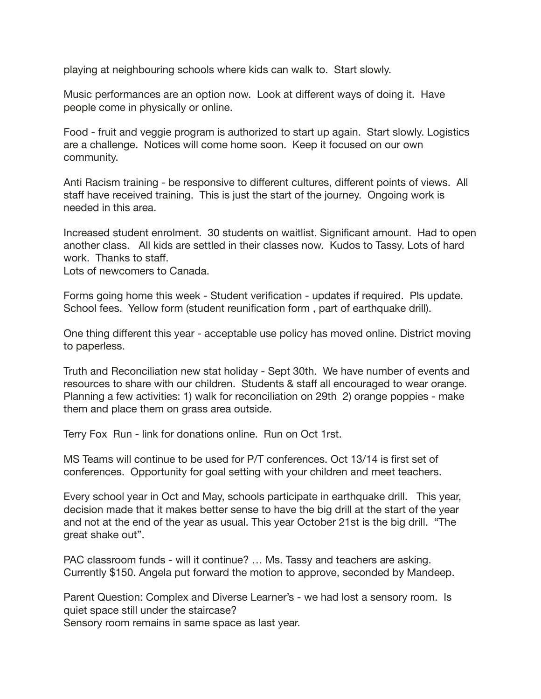playing at neighbouring schools where kids can walk to. Start slowly.

Music performances are an option now. Look at different ways of doing it. Have people come in physically or online.

Food - fruit and veggie program is authorized to start up again. Start slowly. Logistics are a challenge. Notices will come home soon. Keep it focused on our own community.

Anti Racism training - be responsive to different cultures, different points of views. All staff have received training. This is just the start of the journey. Ongoing work is needed in this area.

Increased student enrolment. 30 students on waitlist. Significant amount. Had to open another class. All kids are settled in their classes now. Kudos to Tassy. Lots of hard work. Thanks to staff.

Lots of newcomers to Canada.

Forms going home this week - Student verification - updates if required. Pls update. School fees. Yellow form (student reunification form , part of earthquake drill).

One thing different this year - acceptable use policy has moved online. District moving to paperless.

Truth and Reconciliation new stat holiday - Sept 30th. We have number of events and resources to share with our children. Students & staff all encouraged to wear orange. Planning a few activities: 1) walk for reconciliation on 29th 2) orange poppies - make them and place them on grass area outside.

Terry Fox Run - link for donations online. Run on Oct 1rst.

MS Teams will continue to be used for P/T conferences. Oct 13/14 is first set of conferences. Opportunity for goal setting with your children and meet teachers.

Every school year in Oct and May, schools participate in earthquake drill. This year, decision made that it makes better sense to have the big drill at the start of the year and not at the end of the year as usual. This year October 21st is the big drill. "The great shake out".

PAC classroom funds - will it continue? … Ms. Tassy and teachers are asking. Currently \$150. Angela put forward the motion to approve, seconded by Mandeep.

Parent Question: Complex and Diverse Learner's - we had lost a sensory room. Is quiet space still under the staircase?

Sensory room remains in same space as last year.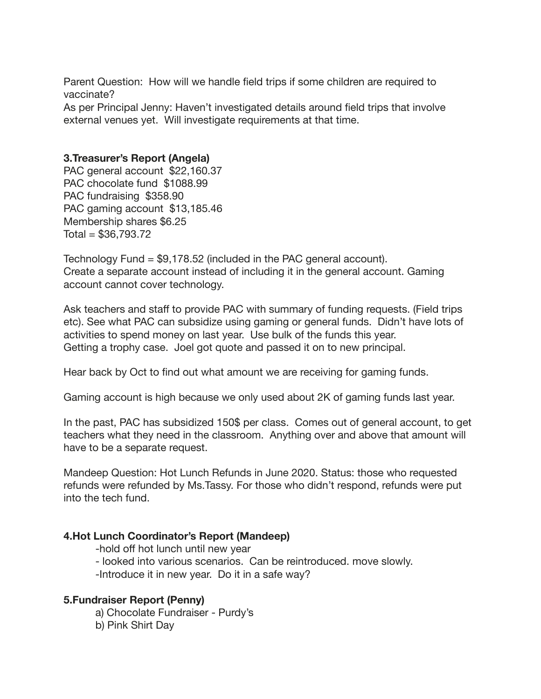Parent Question: How will we handle field trips if some children are required to vaccinate?

As per Principal Jenny: Haven't investigated details around field trips that involve external venues yet. Will investigate requirements at that time.

# **3.Treasurer's Report (Angela)**

PAC general account \$22,160.37 PAC chocolate fund \$1088.99 PAC fundraising \$358.90 PAC gaming account \$13,185.46 Membership shares \$6.25  $Total = $36,793.72$ 

Technology Fund = \$9,178.52 (included in the PAC general account). Create a separate account instead of including it in the general account. Gaming account cannot cover technology.

Ask teachers and staff to provide PAC with summary of funding requests. (Field trips etc). See what PAC can subsidize using gaming or general funds. Didn't have lots of activities to spend money on last year. Use bulk of the funds this year. Getting a trophy case. Joel got quote and passed it on to new principal.

Hear back by Oct to find out what amount we are receiving for gaming funds.

Gaming account is high because we only used about 2K of gaming funds last year.

In the past, PAC has subsidized 150\$ per class. Comes out of general account, to get teachers what they need in the classroom. Anything over and above that amount will have to be a separate request.

Mandeep Question: Hot Lunch Refunds in June 2020. Status: those who requested refunds were refunded by Ms.Tassy. For those who didn't respond, refunds were put into the tech fund.

# **4.Hot Lunch Coordinator's Report (Mandeep)**

-hold off hot lunch until new year

- looked into various scenarios. Can be reintroduced. move slowly.

-Introduce it in new year. Do it in a safe way?

# **5.Fundraiser Report (Penny)**

a) Chocolate Fundraiser - Purdy's b) Pink Shirt Day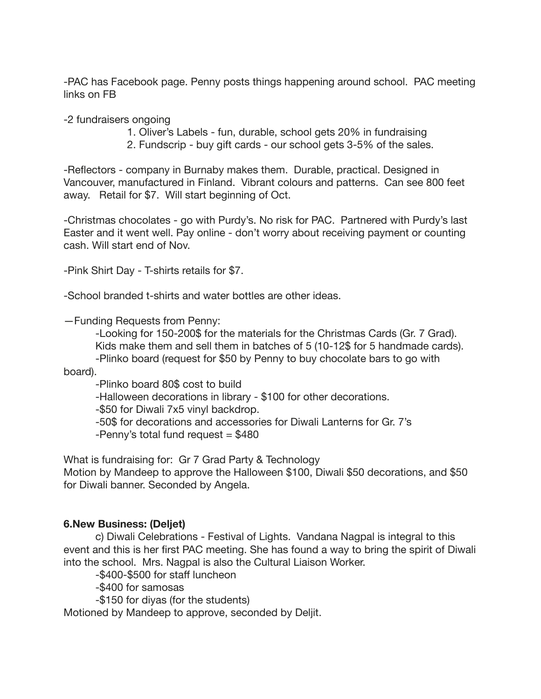-PAC has Facebook page. Penny posts things happening around school. PAC meeting links on FB

-2 fundraisers ongoing

- 1. Oliver's Labels fun, durable, school gets 20% in fundraising
- 2. Fundscrip buy gift cards our school gets 3-5% of the sales.

-Reflectors - company in Burnaby makes them. Durable, practical. Designed in Vancouver, manufactured in Finland. Vibrant colours and patterns. Can see 800 feet away. Retail for \$7. Will start beginning of Oct.

-Christmas chocolates - go with Purdy's. No risk for PAC. Partnered with Purdy's last Easter and it went well. Pay online - don't worry about receiving payment or counting cash. Will start end of Nov.

-Pink Shirt Day - T-shirts retails for \$7.

-School branded t-shirts and water bottles are other ideas.

—Funding Requests from Penny:

-Looking for 150-200\$ for the materials for the Christmas Cards (Gr. 7 Grad).

Kids make them and sell them in batches of 5 (10-12\$ for 5 handmade cards).

-Plinko board (request for \$50 by Penny to buy chocolate bars to go with board).

-Plinko board 80\$ cost to build

-Halloween decorations in library - \$100 for other decorations.

-\$50 for Diwali 7x5 vinyl backdrop.

-50\$ for decorations and accessories for Diwali Lanterns for Gr. 7's

-Penny's total fund request  $= $480$ 

What is fundraising for: Gr 7 Grad Party & Technology

Motion by Mandeep to approve the Halloween \$100, Diwali \$50 decorations, and \$50 for Diwali banner. Seconded by Angela.

# **6.New Business: (Deljet)**

c) Diwali Celebrations - Festival of Lights. Vandana Nagpal is integral to this event and this is her first PAC meeting. She has found a way to bring the spirit of Diwali into the school. Mrs. Nagpal is also the Cultural Liaison Worker.

-\$400-\$500 for staff luncheon

-\$400 for samosas

-\$150 for diyas (for the students)

Motioned by Mandeep to approve, seconded by Deljit.